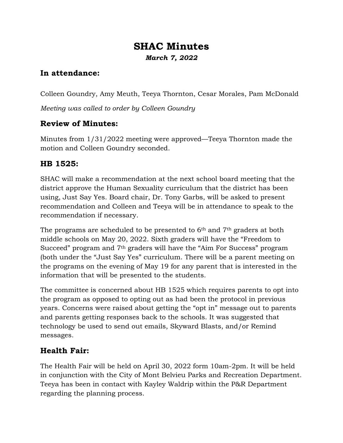# **SHAC Minutes** *March 7, 2022*

### **In attendance:**

Colleen Goundry, Amy Meuth, Teeya Thornton, Cesar Morales, Pam McDonald

*Meeting was called to order by Colleen Goundry*

### **Review of Minutes:**

Minutes from 1/31/2022 meeting were approved—Teeya Thornton made the motion and Colleen Goundry seconded.

### **HB 1525:**

SHAC will make a recommendation at the next school board meeting that the district approve the Human Sexuality curriculum that the district has been using, Just Say Yes. Board chair, Dr. Tony Garbs, will be asked to present recommendation and Colleen and Teeya will be in attendance to speak to the recommendation if necessary.

The programs are scheduled to be presented to 6<sup>th</sup> and 7<sup>th</sup> graders at both middle schools on May 20, 2022. Sixth graders will have the "Freedom to Succeed" program and 7th graders will have the "Aim For Success" program (both under the "Just Say Yes" curriculum. There will be a parent meeting on the programs on the evening of May 19 for any parent that is interested in the information that will be presented to the students.

The committee is concerned about HB 1525 which requires parents to opt into the program as opposed to opting out as had been the protocol in previous years. Concerns were raised about getting the "opt in" message out to parents and parents getting responses back to the schools. It was suggested that technology be used to send out emails, Skyward Blasts, and/or Remind messages.

## **Health Fair:**

The Health Fair will be held on April 30, 2022 form 10am-2pm. It will be held in conjunction with the City of Mont Belvieu Parks and Recreation Department. Teeya has been in contact with Kayley Waldrip within the P&R Department regarding the planning process.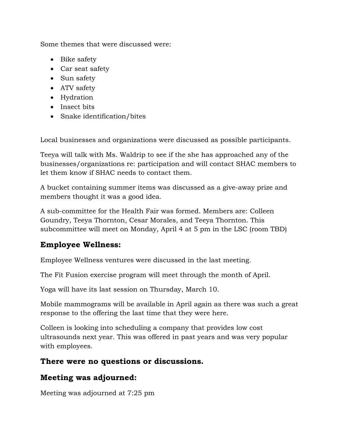Some themes that were discussed were:

- Bike safety
- Car seat safety
- Sun safety
- ATV safety
- Hydration
- Insect bits
- Snake identification/bites

Local businesses and organizations were discussed as possible participants.

Teeya will talk with Ms. Waldrip to see if the she has approached any of the businesses/organizations re: participation and will contact SHAC members to let them know if SHAC needs to contact them.

A bucket containing summer items was discussed as a give-away prize and members thought it was a good idea.

A sub-committee for the Health Fair was formed. Members are: Colleen Goundry, Teeya Thornton, Cesar Morales, and Teeya Thornton. This subcommittee will meet on Monday, April 4 at 5 pm in the LSC (room TBD)

### **Employee Wellness:**

Employee Wellness ventures were discussed in the last meeting.

The Fit Fusion exercise program will meet through the month of April.

Yoga will have its last session on Thursday, March 10.

Mobile mammograms will be available in April again as there was such a great response to the offering the last time that they were here.

Colleen is looking into scheduling a company that provides low cost ultrasounds next year. This was offered in past years and was very popular with employees.

#### **There were no questions or discussions.**

### **Meeting was adjourned:**

Meeting was adjourned at 7:25 pm